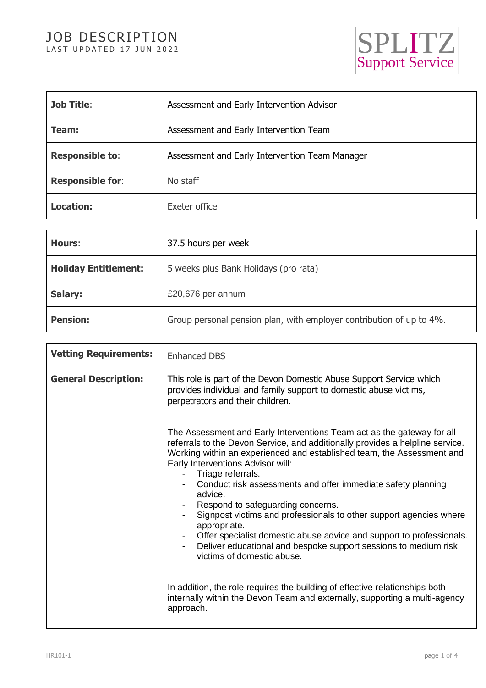# JOB DESCRIPTION LAST UPDATED 17 JUN 2022



| <b>Job Title:</b>       | Assessment and Early Intervention Advisor      |
|-------------------------|------------------------------------------------|
| Team:                   | Assessment and Early Intervention Team         |
| <b>Responsible to:</b>  | Assessment and Early Intervention Team Manager |
| <b>Responsible for:</b> | No staff                                       |
| <b>Location:</b>        | Exeter office                                  |
|                         |                                                |
| Hours:                  | 37.5 hours per week                            |

| <b>Hours:</b>               | 37.5 hours per week                                                  |
|-----------------------------|----------------------------------------------------------------------|
| <b>Holiday Entitlement:</b> | 5 weeks plus Bank Holidays (pro rata)                                |
| Salary:                     | £20,676 per annum                                                    |
| <b>Pension:</b>             | Group personal pension plan, with employer contribution of up to 4%. |

| <b>Vetting Requirements:</b> | <b>Enhanced DBS</b>                                                                                                                                                                                                                                                                                                                                                                                                                                                                                                                                                                                                                                                                                                                                                                                                                                  |
|------------------------------|------------------------------------------------------------------------------------------------------------------------------------------------------------------------------------------------------------------------------------------------------------------------------------------------------------------------------------------------------------------------------------------------------------------------------------------------------------------------------------------------------------------------------------------------------------------------------------------------------------------------------------------------------------------------------------------------------------------------------------------------------------------------------------------------------------------------------------------------------|
| <b>General Description:</b>  | This role is part of the Devon Domestic Abuse Support Service which<br>provides individual and family support to domestic abuse victims,<br>perpetrators and their children.                                                                                                                                                                                                                                                                                                                                                                                                                                                                                                                                                                                                                                                                         |
|                              | The Assessment and Early Interventions Team act as the gateway for all<br>referrals to the Devon Service, and additionally provides a helpline service.<br>Working within an experienced and established team, the Assessment and<br>Early Interventions Advisor will:<br>Triage referrals.<br>Conduct risk assessments and offer immediate safety planning<br>advice.<br>Respond to safeguarding concerns.<br>Signpost victims and professionals to other support agencies where<br>appropriate.<br>Offer specialist domestic abuse advice and support to professionals.<br>Deliver educational and bespoke support sessions to medium risk<br>victims of domestic abuse.<br>In addition, the role requires the building of effective relationships both<br>internally within the Devon Team and externally, supporting a multi-agency<br>approach. |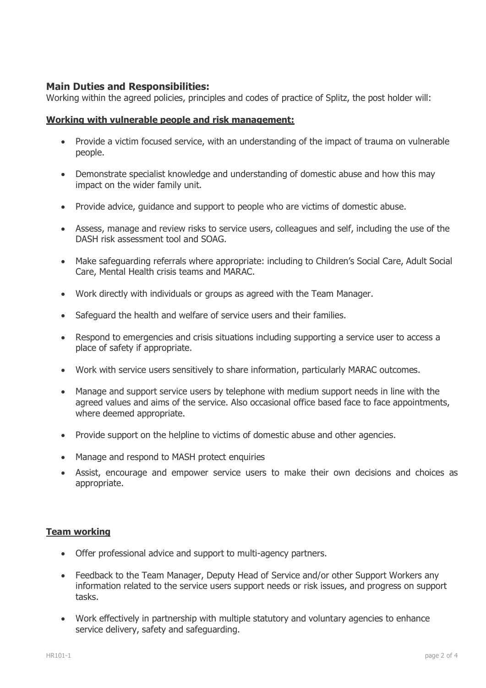## **Main Duties and Responsibilities:**

Working within the agreed policies, principles and codes of practice of Splitz, the post holder will:

#### **Working with vulnerable people and risk management:**

- Provide a victim focused service, with an understanding of the impact of trauma on vulnerable people.
- Demonstrate specialist knowledge and understanding of domestic abuse and how this may impact on the wider family unit.
- Provide advice, guidance and support to people who are victims of domestic abuse.
- Assess, manage and review risks to service users, colleagues and self, including the use of the DASH risk assessment tool and SOAG.
- Make safeguarding referrals where appropriate: including to Children's Social Care, Adult Social Care, Mental Health crisis teams and MARAC.
- Work directly with individuals or groups as agreed with the Team Manager.
- Safeguard the health and welfare of service users and their families.
- Respond to emergencies and crisis situations including supporting a service user to access a place of safety if appropriate.
- Work with service users sensitively to share information, particularly MARAC outcomes.
- Manage and support service users by telephone with medium support needs in line with the agreed values and aims of the service. Also occasional office based face to face appointments, where deemed appropriate.
- Provide support on the helpline to victims of domestic abuse and other agencies.
- Manage and respond to MASH protect enquiries
- Assist, encourage and empower service users to make their own decisions and choices as appropriate.

#### **Team working**

- Offer professional advice and support to multi-agency partners.
- Feedback to the Team Manager, Deputy Head of Service and/or other Support Workers any information related to the service users support needs or risk issues, and progress on support tasks.
- Work effectively in partnership with multiple statutory and voluntary agencies to enhance service delivery, safety and safeguarding.